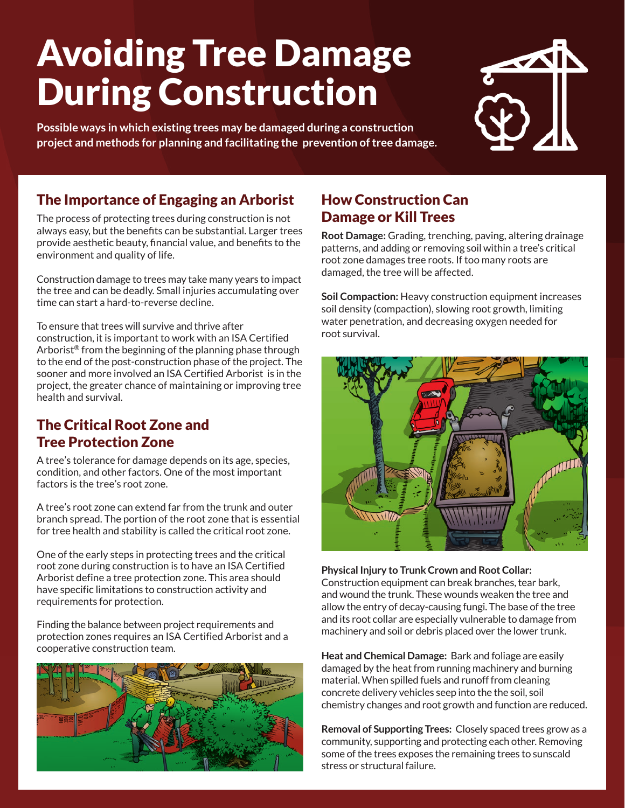# Avoiding Tree Damage During Construction

**Possible ways in which existing trees may be damaged during a construction project and methods for planning and facilitating the prevention of tree damage.**

# $\blacktriangle\Pi$

# The Importance of Engaging an Arborist

The process of protecting trees during construction is not always easy, but the benefits can be substantial. Larger trees provide aesthetic beauty, financial value, and benefits to the environment and quality of life.

Construction damage to trees may take many years to impact the tree and can be deadly. Small injuries accumulating over time can start a hard-to-reverse decline.

To ensure that trees will survive and thrive after construction, it is important to work with an ISA Certified Arborist® from the beginning of the planning phase through to the end of the post-construction phase of the project. The sooner and more involved an ISA Certified Arborist is in the project, the greater chance of maintaining or improving tree health and survival.

#### The Critical Root Zone and Tree Protection Zone

A tree's tolerance for damage depends on its age, species, condition, and other factors. One of the most important factors is the tree's root zone.

A tree's root zone can extend far from the trunk and outer branch spread. The portion of the root zone that is essential for tree health and stability is called the critical root zone.

One of the early steps in protecting trees and the critical root zone during construction is to have an ISA Certified Arborist define a tree protection zone. This area should have specific limitations to construction activity and requirements for protection.

Finding the balance between project requirements and protection zones requires an ISA Certified Arborist and a cooperative construction team.



# How Construction Can Damage or Kill Trees

**Root Damage:** Grading, trenching, paving, altering drainage patterns, and adding or removing soil within a tree's critical root zone damages tree roots. If too many roots are damaged, the tree will be affected.

**Soil Compaction:** Heavy construction equipment increases soil density (compaction), slowing root growth, limiting water penetration, and decreasing oxygen needed for root survival.



**Physical Injury to Trunk Crown and Root Collar:**  Construction equipment can break branches, tear bark, and wound the trunk. These wounds weaken the tree and allow the entry of decay-causing fungi. The base of the tree and its root collar are especially vulnerable to damage from machinery and soil or debris placed over the lower trunk.

**Heat and Chemical Damage:** Bark and foliage are easily damaged by the heat from running machinery and burning material. When spilled fuels and runoff from cleaning concrete delivery vehicles seep into the the soil, soil chemistry changes and root growth and function are reduced.

**Removal of Supporting Trees:** Closely spaced trees grow as a community, supporting and protecting each other. Removing some of the trees exposes the remaining trees to sunscald stress or structural failure.